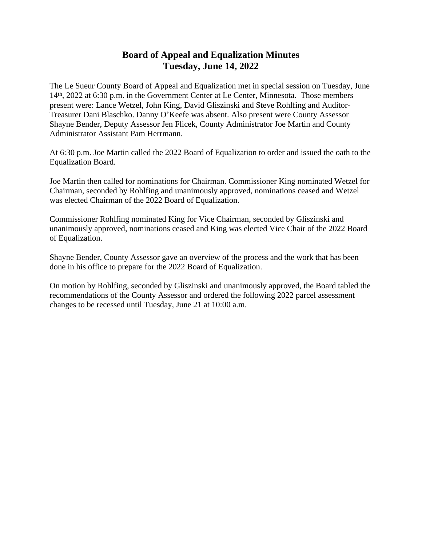## **Board of Appeal and Equalization Minutes Tuesday, June 14, 2022**

The Le Sueur County Board of Appeal and Equalization met in special session on Tuesday, June 14<sup>th</sup>, 2022 at 6:30 p.m. in the Government Center at Le Center, Minnesota. Those members present were: Lance Wetzel, John King, David Gliszinski and Steve Rohlfing and Auditor-Treasurer Dani Blaschko. Danny O'Keefe was absent. Also present were County Assessor Shayne Bender, Deputy Assessor Jen Flicek, County Administrator Joe Martin and County Administrator Assistant Pam Herrmann.

At 6:30 p.m. Joe Martin called the 2022 Board of Equalization to order and issued the oath to the Equalization Board.

Joe Martin then called for nominations for Chairman. Commissioner King nominated Wetzel for Chairman, seconded by Rohlfing and unanimously approved, nominations ceased and Wetzel was elected Chairman of the 2022 Board of Equalization.

Commissioner Rohlfing nominated King for Vice Chairman, seconded by Gliszinski and unanimously approved, nominations ceased and King was elected Vice Chair of the 2022 Board of Equalization.

Shayne Bender, County Assessor gave an overview of the process and the work that has been done in his office to prepare for the 2022 Board of Equalization.

On motion by Rohlfing, seconded by Gliszinski and unanimously approved, the Board tabled the recommendations of the County Assessor and ordered the following 2022 parcel assessment changes to be recessed until Tuesday, June 21 at 10:00 a.m.